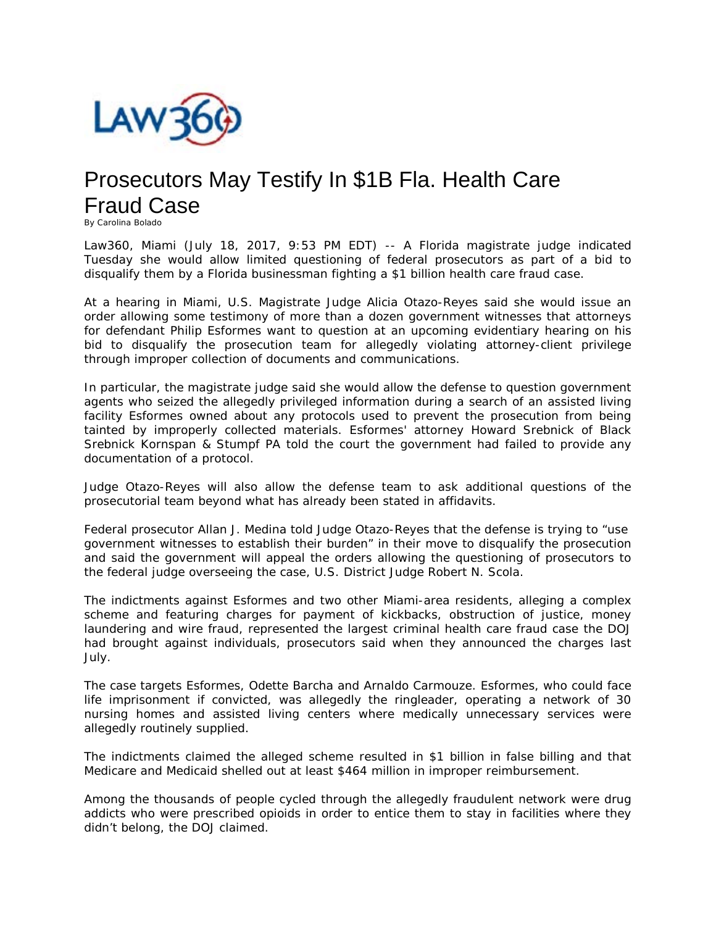

## Prosecutors May Testify In \$1B Fla. Health Care Fraud Case

By Carolina Bolado

Law360, Miami (July 18, 2017, 9:53 PM EDT) -- A Florida magistrate judge indicated Tuesday she would allow limited questioning of federal prosecutors as part of a bid to disqualify them by a Florida businessman fighting a \$1 billion health care fraud case.

At a hearing in Miami, U.S. Magistrate Judge Alicia Otazo-Reyes said she would issue an order allowing some testimony of more than a dozen government witnesses that attorneys for defendant Philip Esformes want to question at an upcoming evidentiary hearing on his bid to disqualify the prosecution team for allegedly violating attorney-client privilege through improper collection of documents and communications.

In particular, the magistrate judge said she would allow the defense to question government agents who seized the allegedly privileged information during a search of an assisted living facility Esformes owned about any protocols used to prevent the prosecution from being tainted by improperly collected materials. Esformes' attorney Howard Srebnick of Black Srebnick Kornspan & Stumpf PA told the court the government had failed to provide any documentation of a protocol.

Judge Otazo-Reyes will also allow the defense team to ask additional questions of the prosecutorial team beyond what has already been stated in affidavits.

Federal prosecutor Allan J. Medina told Judge Otazo-Reyes that the defense is trying to "use government witnesses to establish their burden" in their move to disqualify the prosecution and said the government will appeal the orders allowing the questioning of prosecutors to the federal judge overseeing the case, U.S. District Judge Robert N. Scola.

The indictments against Esformes and two other Miami-area residents, alleging a complex scheme and featuring charges for payment of kickbacks, obstruction of justice, money laundering and wire fraud, represented the largest criminal health care fraud case the DOJ had brought against individuals, prosecutors said when they announced the charges last July.

The case targets Esformes, Odette Barcha and Arnaldo Carmouze. Esformes, who could face life imprisonment if convicted, was allegedly the ringleader, operating a network of 30 nursing homes and assisted living centers where medically unnecessary services were allegedly routinely supplied.

The indictments claimed the alleged scheme resulted in \$1 billion in false billing and that Medicare and Medicaid shelled out at least \$464 million in improper reimbursement.

Among the thousands of people cycled through the allegedly fraudulent network were drug addicts who were prescribed opioids in order to entice them to stay in facilities where they didn't belong, the DOJ claimed.